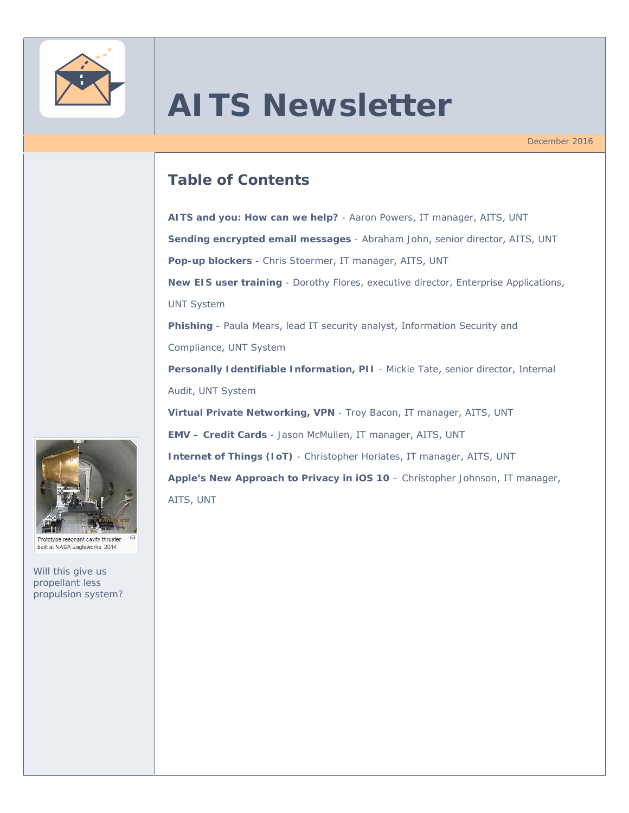

# **AITS Newsletter**

December 2016

# **Table of Contents**

**AITS and you: How can we help?** - Aaron Powers, IT manager, AITS, UNT **Sending encrypted email messages** - Abraham John, senior director, AITS, UNT **Pop-up blockers** - Chris Stoermer, IT manager, AITS, UNT **New EIS user training** - Dorothy Flores, executive director, Enterprise Applications, UNT System **Phishing** - Paula Mears, lead IT security analyst, Information Security and Compliance, UNT System **Personally Identifiable Information, PII** - Mickie Tate, senior director, Internal Audit, UNT System **Virtual Private Networking, VPN** - Troy Bacon, IT manager, AITS, UNT **EMV – Credit Cards** - Jason McMullen, IT manager, AITS, UNT **Internet of Things (IoT)** - Christopher Horiates, IT manager, AITS, UNT **Apple's New Approach to Privacy in iOS 10** – Christopher Johnson, IT manager, AITS, UNT



Prototype resonant cavity thruster built at NASA Eagleworks, 2014

*Will this give us propellant less propulsion system?*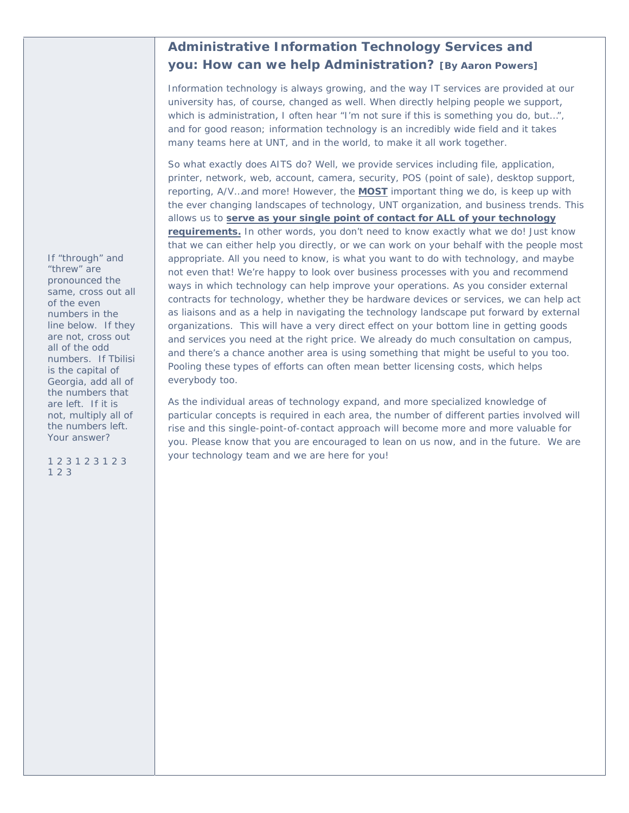# **Administrative Information Technology Services and you: How can we help Administration? [By Aaron Powers]**

Information technology is always growing, and the way IT services are provided at our university has, of course, changed as well. When directly helping people we support, which is administration, I often hear "I'm not sure if this is something you do, but...", and for good reason; information technology is an incredibly wide field and it takes many teams here at UNT, and in the world, to make it all work together.

So what exactly does AITS do? Well, we provide services including file, application, printer, network, web, account, camera, security, POS (point of sale), desktop support, reporting, A/V…and more! However, the **MOST** important thing we do, is keep up with the ever changing landscapes of technology, UNT organization, and business trends. This allows us to **serve as your single point of contact for ALL of your technology requirements.** In other words, you don't need to know exactly what we do! Just know that we can either help you directly, or we can work on your behalf with the people most appropriate. All you need to know, is what you want to do with technology, and maybe not even that! We're happy to look over business processes with you and recommend ways in which technology can help improve your operations. As you consider external contracts for technology, whether they be hardware devices or services, we can help act as liaisons and as a help in navigating the technology landscape put forward by external organizations. This will have a very direct effect on your bottom line in getting goods and services you need at the right price. We already do much consultation on campus, and there's a chance another area is using something that might be useful to you too. Pooling these types of efforts can often mean better licensing costs, which helps everybody too.

As the individual areas of technology expand, and more specialized knowledge of particular concepts is required in each area, the number of different parties involved will rise and this single-point-of-contact approach will become more and more valuable for you. Please know that you are encouraged to lean on us now, and in the future. We are your technology team and we are here for you!

*If "through" and "threw" are pronounced the same, cross out all of the even numbers in the line below. If they are not, cross out all of the odd numbers. If Tbilisi is the capital of Georgia, add all of the numbers that are left. If it is not, multiply all of the numbers left. Your answer?* 

*1 2 3 1 2 3 1 2 3 1 2 3*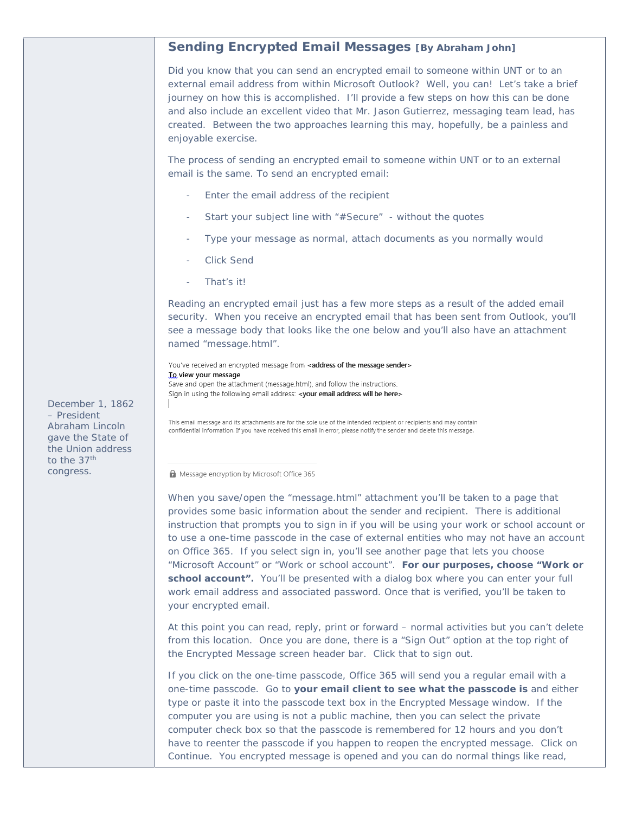## **Sending Encrypted Email Messages [By Abraham John]**

Did you know that you can send an encrypted email to someone within UNT or to an external email address from within Microsoft Outlook? Well, you can! Let's take a brief journey on how this is accomplished. I'll provide a few steps on how this can be done and also include an excellent video that Mr. Jason Gutierrez, messaging team lead, has created. Between the two approaches learning this may, hopefully, be a painless and enjoyable exercise.

The process of sending an encrypted email to someone within UNT or to an external email is the same. To send an encrypted email:

- Enter the email address of the recipient
- Start your subject line with "#Secure" without the quotes
- Type your message as normal, attach documents as you normally would
- Click Send
- That's it!

Reading an encrypted email just has a few more steps as a result of the added email security. When you receive an encrypted email that has been sent from Outlook, you'll see a message body that looks like the one below and you'll also have an attachment named "message.html".

You've received an encrypted message from <address of the message sender> To view your message Save and open the attachment (message.html), and follow the instructions. Sign in using the following email address: < your email address will be here>

This email message and its attachments are for the sole use of the intended recipient or recipients and may contain confidential information. If you have received this email in error, please notify the sender and delete this message.

Message encryption by Microsoft Office 365

When you save/open the "message.html" attachment you'll be taken to a page that provides some basic information about the sender and recipient. There is additional instruction that prompts you to sign in if you will be using your work or school account or to use a one-time passcode in the case of external entities who may not have an account on Office 365. If you select sign in, you'll see another page that lets you choose "Microsoft Account" or "Work or school account". **For our purposes, choose "Work or**  school account". You'll be presented with a dialog box where you can enter your full work email address and associated password. Once that is verified, you'll be taken to your encrypted email.

At this point you can read, reply, print or forward – normal activities but you can't delete from this location. Once you are done, there is a "Sign Out" option at the top right of the Encrypted Message screen header bar. Click that to sign out.

If you click on the one-time passcode, Office 365 will send you a regular email with a one-time passcode. Go to **your email client to see what the passcode is** and either type or paste it into the passcode text box in the Encrypted Message window. If the computer you are using is not a public machine, then you can select the private computer check box so that the passcode is remembered for 12 hours and you don't have to reenter the passcode if you happen to reopen the encrypted message. Click on Continue. You encrypted message is opened and you can do normal things like read,

*December 1, 1862 – President Abraham Lincoln gave the State of the Union address to the 37th congress.*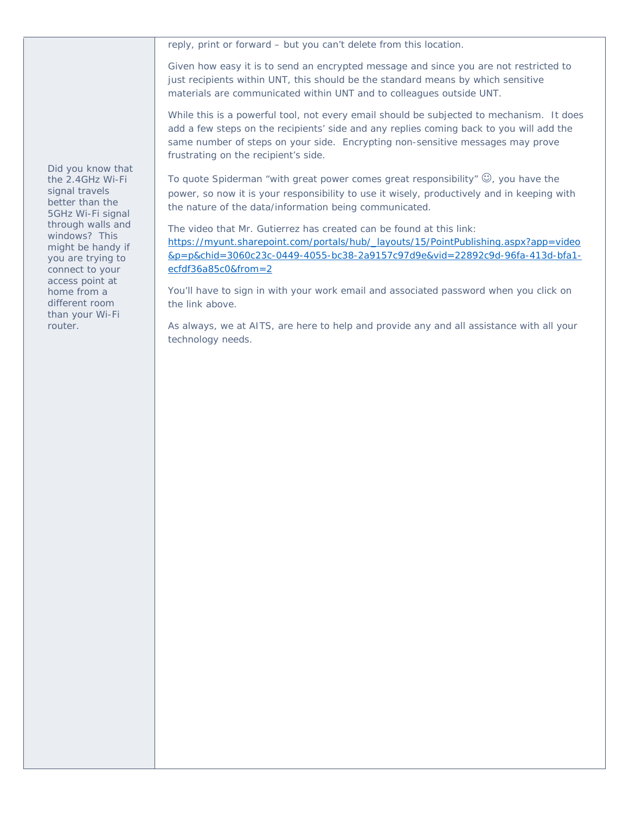reply, print or forward – but you can't delete from this location.

Given how easy it is to send an encrypted message and since you are not restricted to just recipients within UNT, this should be the standard means by which sensitive materials are communicated within UNT and to colleagues outside UNT.

While this is a powerful tool, not every email should be subjected to mechanism. It does add a few steps on the recipients' side and any replies coming back to you will add the same number of steps on your side. Encrypting non-sensitive messages may prove frustrating on the recipient's side.

To quote Spiderman "with great power comes great responsibility"  $\mathbb{G}$ , you have the power, so now it is your responsibility to use it wisely, productively and in keeping with the nature of the data/information being communicated.

The video that Mr. Gutierrez has created can be found at this link: https://myunt.sharepoint.com/portals/hub/\_layouts/15/PointPublishing.aspx?app=video &p=p&chid=3060c23c-0449-4055-bc38-2a9157c97d9e&vid=22892c9d-96fa-413d-bfa1 ecfdf36a85c0&from=2

You'll have to sign in with your work email and associated password when you click on the link above.

As always, we at AITS, are here to help and provide any and all assistance with all your technology needs.

*Did you know that the 2.4GHz Wi-Fi signal travels better than the 5GHz Wi-Fi signal through walls and windows? This might be handy if you are trying to connect to your access point at home from a different room than your Wi-Fi router.*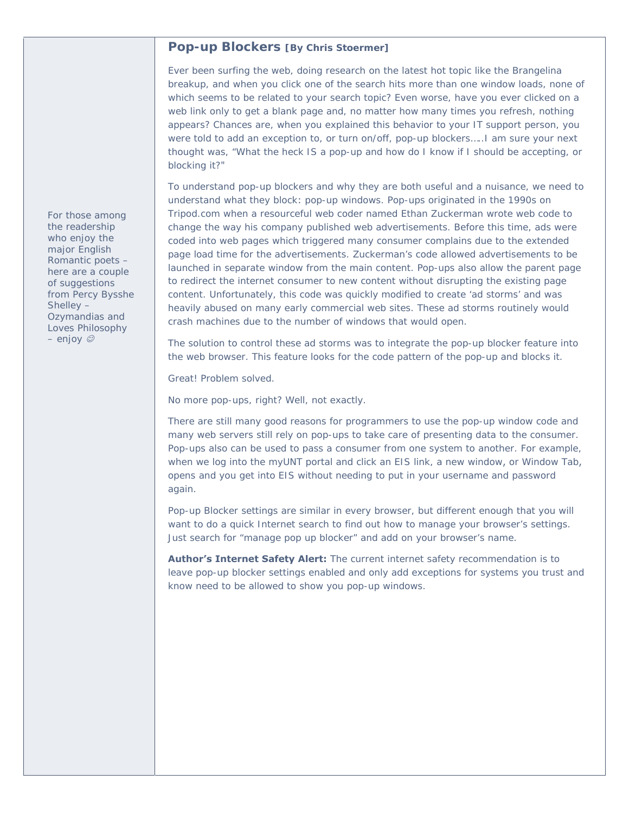## **Pop-up Blockers [By Chris Stoermer]**

Ever been surfing the web, doing research on the latest hot topic like the Brangelina breakup, and when you click one of the search hits more than one window loads, none of which seems to be related to your search topic? Even worse, have you ever clicked on a web link only to get a blank page and, no matter how many times you refresh, nothing appears? Chances are, when you explained this behavior to your IT support person, you were told to add an exception to, or turn on/off, pop-up blockers…..I am sure your next thought was, "What the heck IS a pop-up and how do I know if I should be accepting, or blocking it?"

To understand pop-up blockers and why they are both useful and a nuisance, we need to understand what they block: pop-up windows. Pop-ups originated in the 1990s on Tripod.com when a resourceful web coder named Ethan Zuckerman wrote web code to change the way his company published web advertisements. Before this time, ads were coded into web pages which triggered many consumer complains due to the extended page load time for the advertisements. Zuckerman's code allowed advertisements to be launched in separate window from the main content. Pop-ups also allow the parent page to redirect the internet consumer to new content without disrupting the existing page content. Unfortunately, this code was quickly modified to create 'ad storms' and was heavily abused on many early commercial web sites. These ad storms routinely would crash machines due to the number of windows that would open.

The solution to control these ad storms was to integrate the pop-up blocker feature into the web browser. This feature looks for the code pattern of the pop-up and blocks it.

Great! Problem solved.

No more pop-ups, right? Well, not exactly.

There are still many good reasons for programmers to use the pop-up window code and many web servers still rely on pop-ups to take care of presenting data to the consumer. Pop-ups also can be used to pass a consumer from one system to another. For example, when we log into the myUNT portal and click an EIS link, a new window, or Window Tab, opens and you get into EIS without needing to put in your username and password again.

Pop-up Blocker settings are similar in every browser, but different enough that you will want to do a quick Internet search to find out how to manage your browser's settings. Just search for "manage pop up blocker" and add on your browser's name.

**Author's Internet Safety Alert:** The current internet safety recommendation is to leave pop-up blocker settings enabled and only add exceptions for systems you trust and know need to be allowed to show you pop-up windows.

*For those among the readership who enjoy the major English Romantic poets – here are a couple of suggestions from Percy Bysshe Shelley – Ozymandias and Loves Philosophy – enjoy*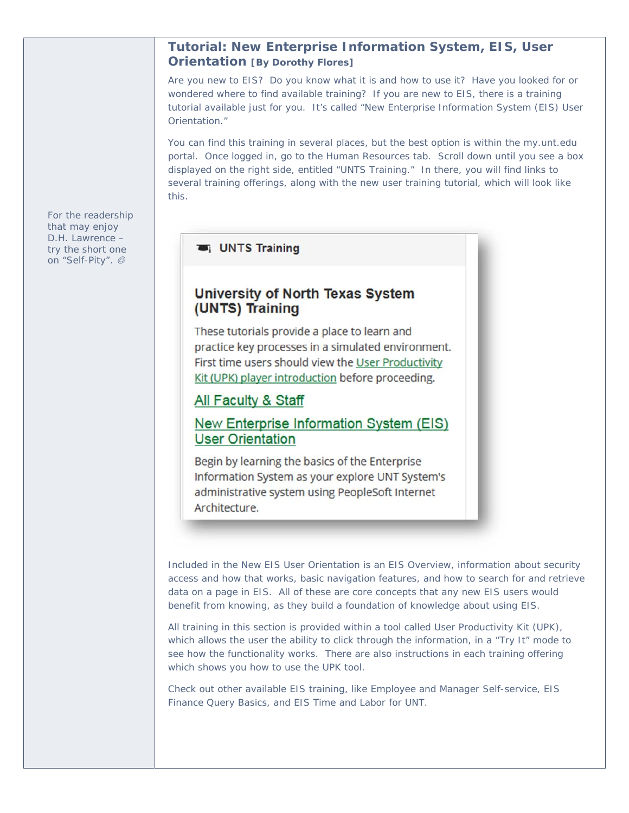## **Tutorial: New Enterprise Information System, EIS, User Orientation [By Dorothy Flores]**

Are you new to EIS? Do you know what it is and how to use it? Have you looked for or wondered where to find available training? If you are new to EIS, there is a training tutorial available just for you. It's called "New Enterprise Information System (EIS) User Orientation."

You can find this training in several places, but the best option is within the my.unt.edu portal. Once logged in, go to the Human Resources tab. Scroll down until you see a box displayed on the right side, entitled "UNTS Training." In there, you will find links to several training offerings, along with the new user training tutorial, which will look like this.

## UNTS Training

# University of North Texas System (UNTS) Training

These tutorials provide a place to learn and practice key processes in a simulated environment. First time users should view the User Productivity Kit (UPK) player introduction before proceeding.

# All Faculty & Staff

# New Enterprise Information System (EIS) **User Orientation**

Begin by learning the basics of the Enterprise Information System as your explore UNT System's administrative system using PeopleSoft Internet Architecture.

Included in the New EIS User Orientation is an EIS Overview, information about security access and how that works, basic navigation features, and how to search for and retrieve data on a page in EIS. All of these are core concepts that any new EIS users would benefit from knowing, as they build a foundation of knowledge about using EIS.

All training in this section is provided within a tool called User Productivity Kit (UPK), which allows the user the ability to click through the information, in a "Try It" mode to see how the functionality works. There are also instructions in each training offering which shows you how to use the UPK tool.

Check out other available EIS training, like Employee and Manager Self-service, EIS Finance Query Basics, and EIS Time and Labor for UNT.

*For the readership that may enjoy D.H. Lawrence – try the short one on "Self-Pity".*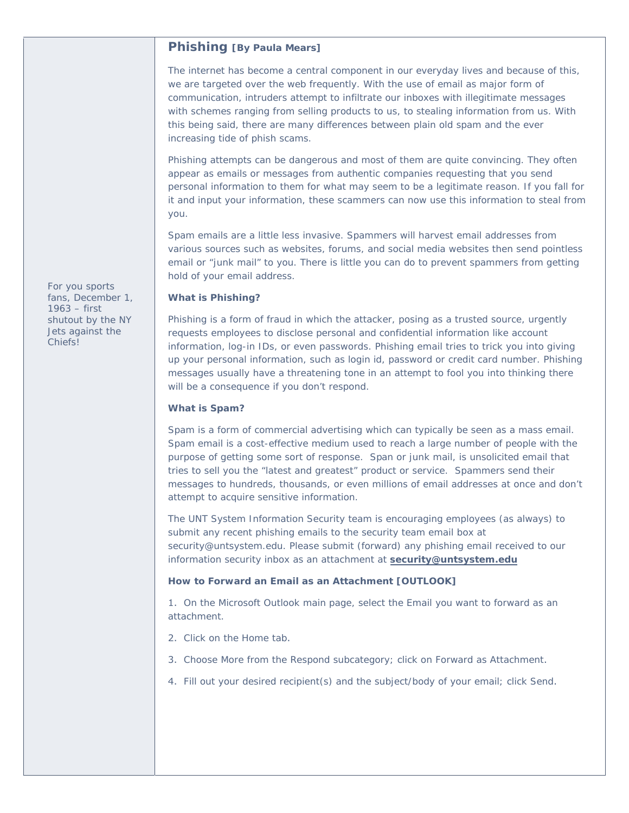## **Phishing [By Paula Mears]**

The internet has become a central component in our everyday lives and because of this, we are targeted over the web frequently. With the use of email as major form of communication, intruders attempt to infiltrate our inboxes with illegitimate messages with schemes ranging from selling products to us, to stealing information from us. With this being said, there are many differences between plain old spam and the ever increasing tide of phish scams.

Phishing attempts can be dangerous and most of them are quite convincing. They often appear as emails or messages from authentic companies requesting that you send personal information to them for what may seem to be a legitimate reason. If you fall for it and input your information, these scammers can now use this information to steal from you.

Spam emails are a little less invasive. Spammers will harvest email addresses from various sources such as websites, forums, and social media websites then send pointless email or "junk mail" to you. There is little you can do to prevent spammers from getting hold of your email address.

#### **What is Phishing?**

Phishing is a form of fraud in which the attacker, posing as a trusted source, urgently requests employees to disclose personal and confidential information like account information, log-in IDs, or even passwords. Phishing email tries to trick you into giving up your personal information, such as login id, password or credit card number. Phishing messages usually have a threatening tone in an attempt to fool you into thinking there will be a consequence if you don't respond.

#### **What is Spam?**

Spam is a form of commercial advertising which can typically be seen as a mass email. Spam email is a cost-effective medium used to reach a large number of people with the purpose of getting some sort of response. Span or junk mail, is unsolicited email that tries to sell you the "latest and greatest" product or service. Spammers send their messages to hundreds, thousands, or even millions of email addresses at once and don't attempt to acquire sensitive information.

The UNT System Information Security team is encouraging employees (as always) to submit any recent phishing emails to the security team email box at security@untsystem.edu. Please submit (forward) any phishing email received to our information security inbox as an attachment at **security@untsystem.edu**

#### **How to Forward an Email as an Attachment [OUTLOOK]**

1. On the Microsoft Outlook main page, select the Email you want to forward as an attachment.

- 2. Click on the Home tab.
- 3. Choose More from the Respond subcategory; click on Forward as Attachment.
- 4. Fill out your desired recipient(s) and the subject/body of your email; click Send.

*For you sports fans, December 1, 1963 – first shutout by the NY Jets against the Chiefs!*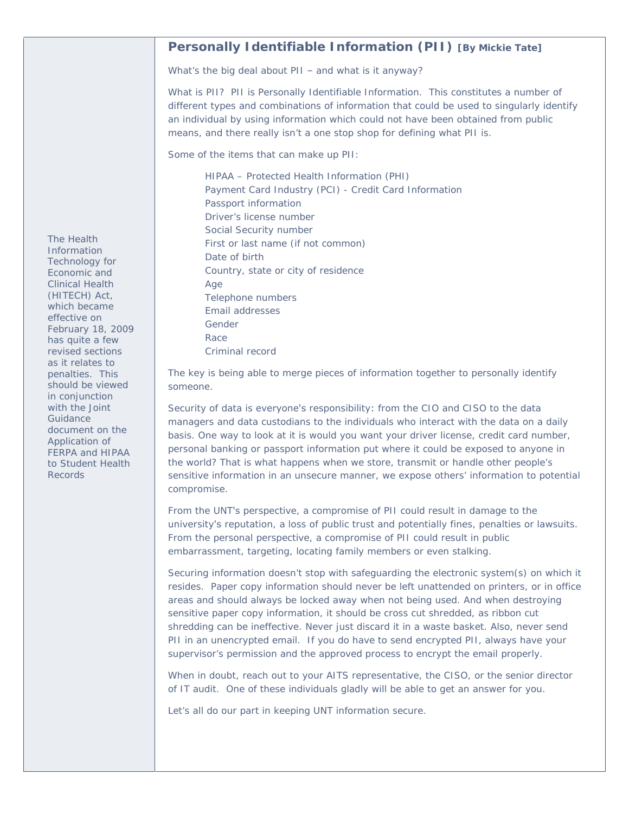## **Personally Identifiable Information (PII) [By Mickie Tate]**

What's the big deal about PII – and what is it anyway?

What is PII? PII is Personally Identifiable Information. This constitutes a number of different types and combinations of information that could be used to singularly identify an individual by using information which could not have been obtained from public means, and there really isn't a one stop shop for defining what PII is.

Some of the items that can make up PII:

HIPAA – Protected Health Information (PHI) Payment Card Industry (PCI) - Credit Card Information Passport information Driver's license number Social Security number First or last name (if not common) Date of birth Country, state or city of residence Age Telephone numbers Email addresses Gender Race Criminal record

The key is being able to merge pieces of information together to personally identify someone.

Security of data is everyone's responsibility: from the CIO and CISO to the data managers and data custodians to the individuals who interact with the data on a daily basis. One way to look at it is would you want your driver license, credit card number, personal banking or passport information put where it could be exposed to anyone in the world? That is what happens when we store, transmit or handle other people's sensitive information in an unsecure manner, we expose others' information to potential compromise.

From the UNT's perspective, a compromise of PII could result in damage to the university's reputation, a loss of public trust and potentially fines, penalties or lawsuits. From the personal perspective, a compromise of PII could result in public embarrassment, targeting, locating family members or even stalking.

Securing information doesn't stop with safeguarding the electronic system(s) on which it resides. Paper copy information should never be left unattended on printers, or in office areas and should always be locked away when not being used. And when destroying sensitive paper copy information, it should be cross cut shredded, as ribbon cut shredding can be ineffective. Never just discard it in a waste basket. Also, never send PII in an unencrypted email. If you do have to send encrypted PII, always have your supervisor's permission and the approved process to encrypt the email properly.

When in doubt, reach out to your AITS representative, the CISO, or the senior director of IT audit. One of these individuals gladly will be able to get an answer for you.

Let's all do our part in keeping UNT information secure.

*The Health Information Technology for Economic and Clinical Health (HITECH) Act, which became effective on February 18, 2009 has quite a few revised sections as it relates to penalties. This should be viewed in conjunction with the Joint Guidance document on the Application of FERPA and HIPAA to Student Health Records*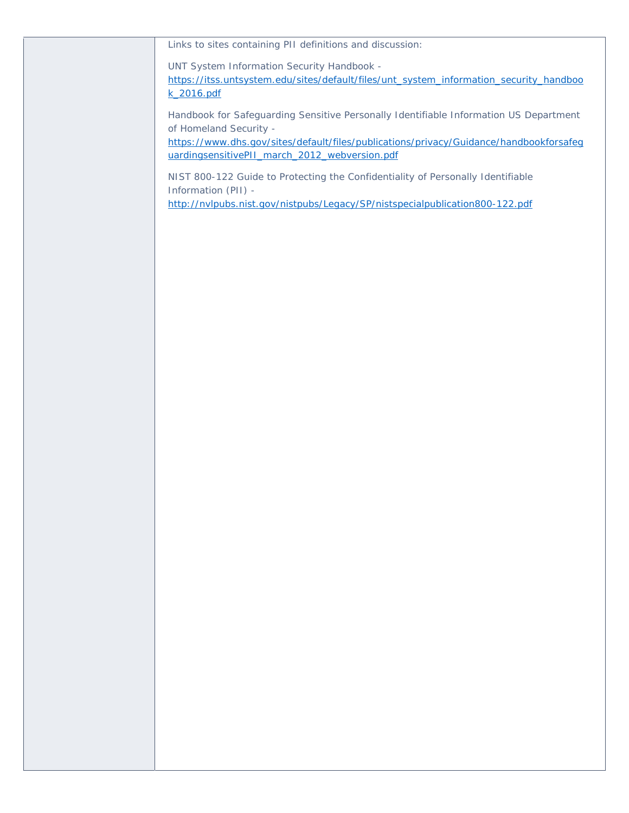Links to sites containing PII definitions and discussion:

UNT System Information Security Handbook -

https://itss.untsystem.edu/sites/default/files/unt\_system\_information\_security\_handboo k\_2016.pdf

Handbook for Safeguarding Sensitive Personally Identifiable Information US Department of Homeland Security -

https://www.dhs.gov/sites/default/files/publications/privacy/Guidance/handbookforsafeg uardingsensitivePII\_march\_2012\_webversion.pdf

NIST 800-122 Guide to Protecting the Confidentiality of Personally Identifiable Information (PII) -

http://nvlpubs.nist.gov/nistpubs/Legacy/SP/nistspecialpublication800-122.pdf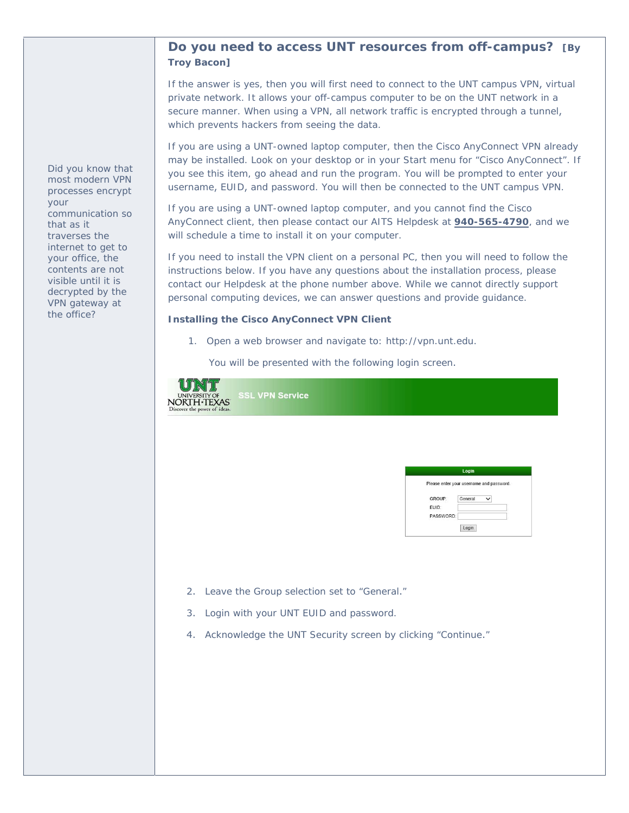# *7R\$,76&OLHQWV* **Do you need to access UNT resources from off campus? [ByTroy Bacon]**

If RXQHHGWRDFFHW817RQOLQHUHVRXUTUURPRIIFDPSXV, then you will need to connect to the UNT campus virtual private network931. It allows your off-campus computer to be on the UNT network in a secure manner. When using a VPN, all network traffic is encrypted through a tunnel, which prevents hackers from seeing the data.

If you are using a UNT-owned laptop computer, then the Cisco AnyConnect VPN already may be installed. Look on your desktop or in your Start menu for "Cisco AnyConnect". If you see this item, go ahead and run the program. You will be prompted to enter your username, EUID, and password. You will then be connected to the UNT campus VPN.

If you are using a UNT-owned laptop computer, and you cannot find the Cisco AnyConnect client, then please contact our AITS Helpdesk at **940-565-4790**, and we will schedule a time to install it on your computer.

If you need to install the VPN client on a personal PC, then you will need to follow the instructions below. If you have any questions about the installation process, please contact our Helpdesk at the phone number above. While we cannot directly support personal computing devices, we can answer questions and provide guidance.

#### **Installing the Cisco AnyConnect VPN Client**

1. Open a web browser and navigate to: KWWSYSQXQWHGX.

You will be presented with the following login screen.

| UNIVERSITY OF SSL VPN Service<br>NORTH-TEXAS<br>Discover the power of ideas. |                                                                                                     |
|------------------------------------------------------------------------------|-----------------------------------------------------------------------------------------------------|
|                                                                              |                                                                                                     |
|                                                                              | Login                                                                                               |
|                                                                              | Please enter your username and password.<br>GROUP:<br>General<br>$\checkmark$<br>EUID:<br>PASSWORD: |

 $Login$ 

- 2. Leave the Group selection set to "General."
- 3. Login with your UNT EUID and password.
- 4. Acknowledge the UNT Security screen by clicking "Continue."

*Did you know that most modern VPN processes encrypt your communication so that as it traverses the internet to get to your office, the contents are not visible until it is decrypted by the VPN gateway at the office?*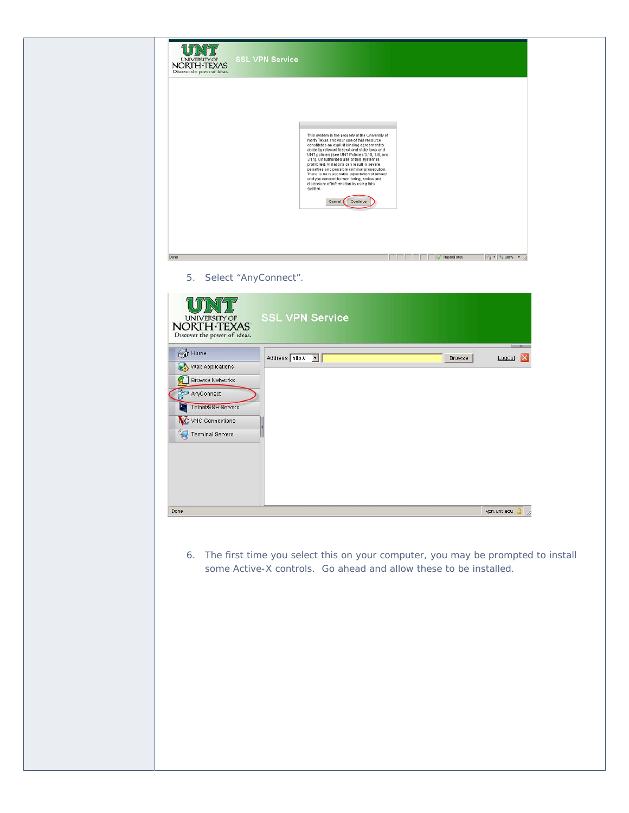| <b>SSL VPN Service</b><br><b>UNIVERSITY OF</b><br>NORTH TEXAS<br>Discover the power of ideas.                                                          |                                                                                                                                                                                                                                                                                                                                                                                                                                                                                                                                                                   |
|--------------------------------------------------------------------------------------------------------------------------------------------------------|-------------------------------------------------------------------------------------------------------------------------------------------------------------------------------------------------------------------------------------------------------------------------------------------------------------------------------------------------------------------------------------------------------------------------------------------------------------------------------------------------------------------------------------------------------------------|
|                                                                                                                                                        | This system is the property of the University of<br>North Texas and your use of this resource<br>constitutes an explicit binding agreement to<br>abide by relevant federal and state laws and<br>UNT policies (see UNT Policies 3.10, 3.6, and<br>3.11). Unauthorized use of this system is<br>prohibited. Violations can result in severe<br>penalties and possible criminal prosecution.<br>There is no reasonable expectation of privacy<br>and you consent to monitoring, review and<br>disclosure of information by using this<br>system.<br>Cancel Continue |
| Done<br>5.<br>Select "AnyConnect".                                                                                                                     | Trusted sites<br>$\frac{1}{2}$ = $\frac{1}{2}$ 100% =                                                                                                                                                                                                                                                                                                                                                                                                                                                                                                             |
| UNIVERSITY OF<br>NORTH TEXAS<br>Discover the power of ideas.                                                                                           | <b>SSL VPN Service</b>                                                                                                                                                                                                                                                                                                                                                                                                                                                                                                                                            |
| $\bigodot$ Home<br>Web Applications<br>١G<br><b>Browse Networks</b><br>AnyConnect<br>Telnet/SSH Servers<br>×<br>NC VNC Connections<br>Terminal Servers | $\overline{\phantom{a}}$<br>Address http://<br>╺║<br>Logout<br>ΙX<br><b>Browse</b>                                                                                                                                                                                                                                                                                                                                                                                                                                                                                |
|                                                                                                                                                        |                                                                                                                                                                                                                                                                                                                                                                                                                                                                                                                                                                   |
| Done                                                                                                                                                   | vpn.unt.edu<br>6. The first time you select this on your computer, you may be prompted to install<br>some Active-X controls. Go ahead and allow these to be installed.                                                                                                                                                                                                                                                                                                                                                                                            |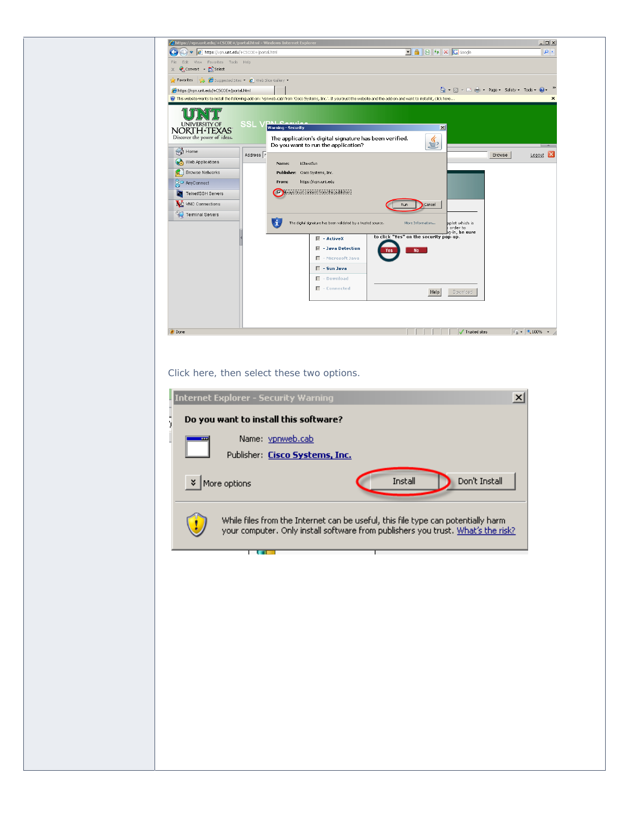

#### Click here, then select these two options.

|                                                                                                                                                                      | <b>Internet Explorer - Security Warning</b> |                          | $\vert x \vert$ |  |  |
|----------------------------------------------------------------------------------------------------------------------------------------------------------------------|---------------------------------------------|--------------------------|-----------------|--|--|
|                                                                                                                                                                      | Do you want to install this software?       |                          |                 |  |  |
|                                                                                                                                                                      | Name: vpnweb.cab                            |                          |                 |  |  |
|                                                                                                                                                                      | Publisher: Cisco Systems, Inc.              |                          |                 |  |  |
| ×.                                                                                                                                                                   | More options                                | Install<br>Don't Install |                 |  |  |
| While files from the Internet can be useful, this file type can potentially harm<br>your computer. Only install software from publishers you trust. What's the risk? |                                             |                          |                 |  |  |
|                                                                                                                                                                      |                                             |                          |                 |  |  |
|                                                                                                                                                                      |                                             |                          |                 |  |  |
|                                                                                                                                                                      |                                             |                          |                 |  |  |
|                                                                                                                                                                      |                                             |                          |                 |  |  |
|                                                                                                                                                                      |                                             |                          |                 |  |  |
|                                                                                                                                                                      |                                             |                          |                 |  |  |
|                                                                                                                                                                      |                                             |                          |                 |  |  |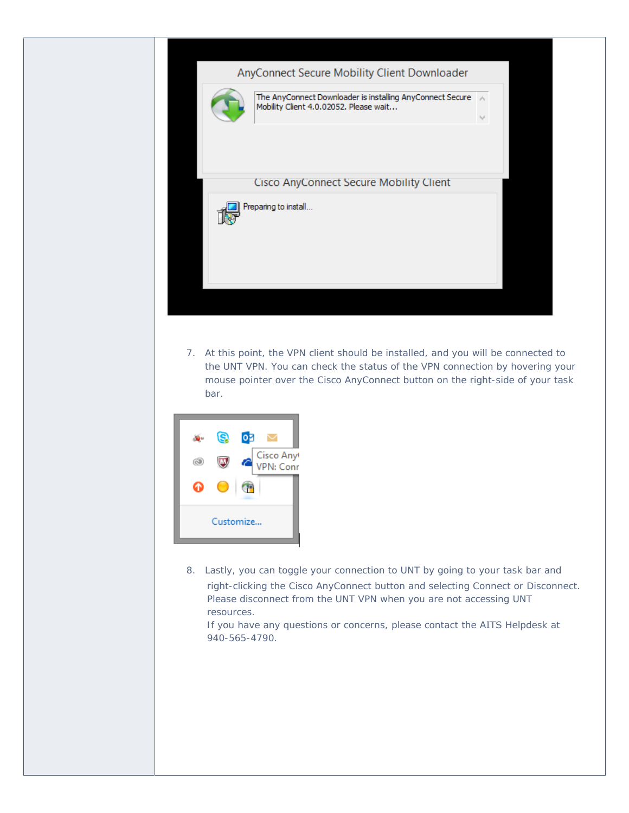### AnyConnect Secure Mobility Client Downloader



The AnyConnect Downloader is installing AnyConnect Secure A Mobility Client 4.0.02052. Please wait...  $\omega$ 

#### **Cisco AnyConnect Secure Mobility Client**



7. At this point, the VPN client should be installed, and you will be connected to the UNT VPN. You can check the status of the VPN connection by hovering your mouse pointer over the Cisco AnyConnect button on the right-side of your task bar.



8. Lastly, you can toggle your connection to UNT by going to your task bar and right-clicking the Cisco AnyConnect button and selecting Connect or Disconnect. Please disconnect from the UNT VPN when you are not accessing UNT resources.

If you have any questions or concerns, please contact the AITS Helpdesk at 940-565-4790.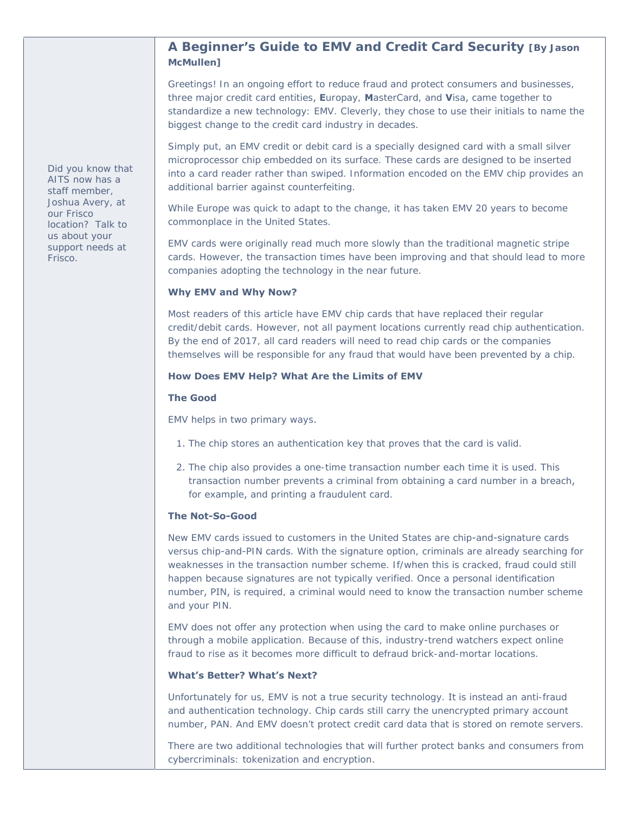## **A Beginner's Guide to EMV and Credit Card Security [By Jason McMullen]**

Greetings! In an ongoing effort to reduce fraud and protect consumers and businesses, three major credit card entities, **E**uropay, **M**asterCard, and **V**isa, came together to standardize a new technology: EMV. Cleverly, they chose to use their initials to name the biggest change to the credit card industry in decades.

Simply put, an EMV credit or debit card is a specially designed card with a small silver microprocessor chip embedded on its surface. These cards are designed to be inserted into a card reader rather than swiped. Information encoded on the EMV chip provides an additional barrier against counterfeiting.

While Europe was quick to adapt to the change, it has taken EMV 20 years to become commonplace in the United States.

EMV cards were originally read much more slowly than the traditional magnetic stripe cards. However, the transaction times have been improving and that should lead to more companies adopting the technology in the near future.

#### **Why EMV and Why Now?**

Most readers of this article have EMV chip cards that have replaced their regular credit/debit cards. However, not all payment locations currently read chip authentication. By the end of 2017, all card readers will need to read chip cards or the companies themselves will be responsible for any fraud that would have been prevented by a chip.

#### **How Does EMV Help? What Are the Limits of EMV**

#### **The Good**

EMV helps in two primary ways.

- 1. The chip stores an authentication key that proves that the card is valid.
- 2. The chip also provides a one-time transaction number each time it is used. This transaction number prevents a criminal from obtaining a card number in a breach, for example, and printing a fraudulent card.

#### **The Not-So-Good**

New EMV cards issued to customers in the United States are chip-and-signature cards versus chip-and-PIN cards. With the signature option, criminals are already searching for weaknesses in the transaction number scheme. If/when this is cracked, fraud could still happen because signatures are not typically verified. Once a personal identification number, PIN, is required, a criminal would need to know the transaction number scheme and your PIN.

EMV does not offer any protection when using the card to make online purchases or through a mobile application. Because of this, industry-trend watchers expect online fraud to rise as it becomes more difficult to defraud brick-and-mortar locations.

#### **What's Better? What's Next?**

Unfortunately for us, EMV is not a true security technology. It is instead an anti-fraud and authentication technology. Chip cards still carry the unencrypted primary account number, PAN. And EMV doesn't protect credit card data that is stored on remote servers.

There are two additional technologies that will further protect banks and consumers from cybercriminals: tokenization and encryption.

*Did you know that AITS now has a staff member, Joshua Avery, at our Frisco location? Talk to us about your support needs at Frisco.*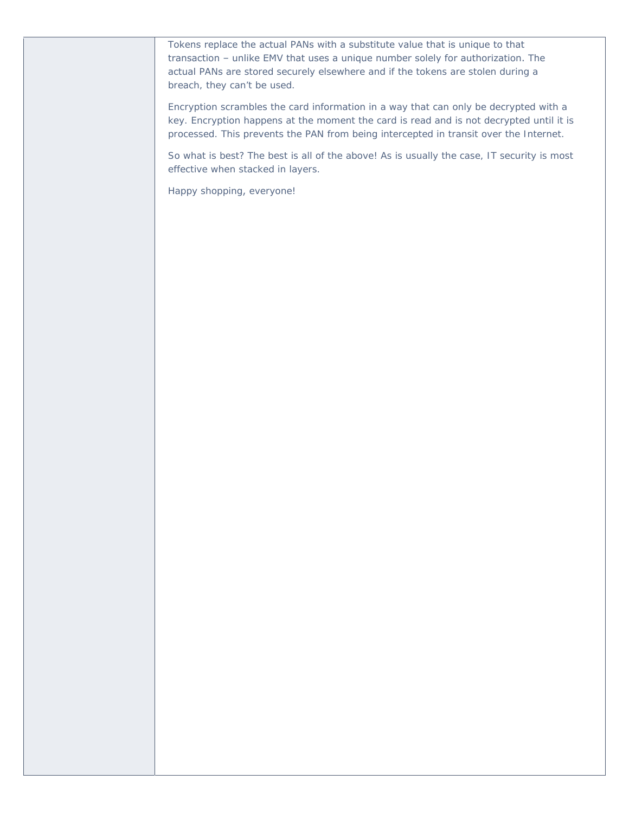Tokens replace the actual PANs with a substitute value that is unique to that transaction – unlike EMV that uses a unique number solely for authorization. The actual PANs are stored securely elsewhere and if the tokens are stolen during a breach, they can't be used.

Encryption scrambles the card information in a way that can only be decrypted with a key. Encryption happens at the moment the card is read and is not decrypted until it is processed. This prevents the PAN from being intercepted in transit over the Internet.

So what is best? The best is all of the above! As is usually the case, IT security is most effective when stacked in layers.

Happy shopping, everyone!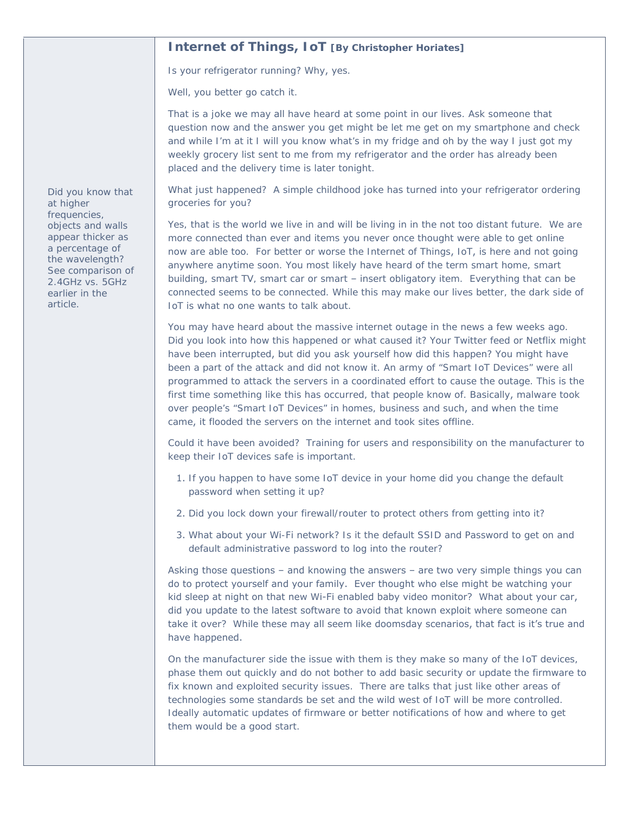## **Internet of Things, IoT [By Christopher Horiates]**

Is your refrigerator running? Why, yes.

Well, you better go catch it.

That is a joke we may all have heard at some point in our lives. Ask someone that question now and the answer you get might be let me get on my smartphone and check and while I'm at it I will you know what's in my fridge and oh by the way I just got my weekly grocery list sent to me from my refrigerator and the order has already been placed and the delivery time is later tonight.

What just happened? A simple childhood joke has turned into your refrigerator ordering groceries for you?

Yes, that is the world we live in and will be living in in the not too distant future. We are more connected than ever and items you never once thought were able to get online now are able too. For better or worse the Internet of Things, IoT, is here and not going anywhere anytime soon. You most likely have heard of the term smart home, smart building, smart TV, smart car or smart – insert obligatory item. Everything that can be connected seems to be connected. While this may make our lives better, the dark side of IoT is what no one wants to talk about.

You may have heard about the massive internet outage in the news a few weeks ago. Did you look into how this happened or what caused it? Your Twitter feed or Netflix might have been interrupted, but did you ask yourself how did this happen? You might have been a part of the attack and did not know it. An army of "Smart IoT Devices" were all programmed to attack the servers in a coordinated effort to cause the outage. This is the first time something like this has occurred, that people know of. Basically, malware took over people's "Smart IoT Devices" in homes, business and such, and when the time came, it flooded the servers on the internet and took sites offline.

Could it have been avoided? Training for users and responsibility on the manufacturer to keep their IoT devices safe is important.

- 1. If you happen to have some IoT device in your home did you change the default password when setting it up?
- 2. Did you lock down your firewall/router to protect others from getting into it?
- 3. What about your Wi-Fi network? Is it the default SSID and Password to get on and default administrative password to log into the router?

Asking those questions – and knowing the answers – are two very simple things you can do to protect yourself and your family. Ever thought who else might be watching your kid sleep at night on that new Wi-Fi enabled baby video monitor? What about your car, did you update to the latest software to avoid that known exploit where someone can take it over? While these may all seem like doomsday scenarios, that fact is it's true and have happened.

On the manufacturer side the issue with them is they make so many of the IoT devices, phase them out quickly and do not bother to add basic security or update the firmware to fix known and exploited security issues. There are talks that just like other areas of technologies some standards be set and the wild west of IoT will be more controlled. Ideally automatic updates of firmware or better notifications of how and where to get them would be a good start.

*Did you know that at higher frequencies, objects and walls appear thicker as a percentage of the wavelength? See comparison of 2.4GHz vs. 5GHz earlier in the article.*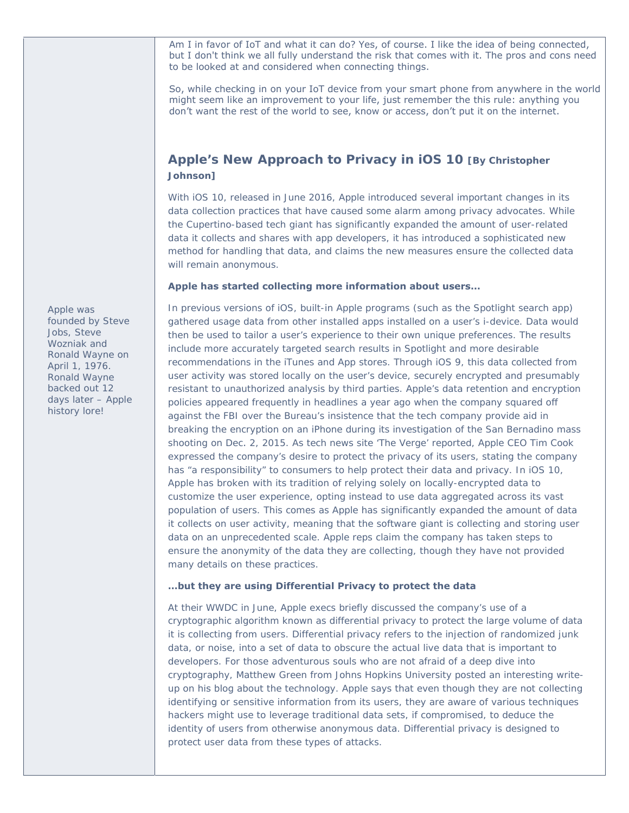Am I in favor of IoT and what it can do? Yes, of course. I like the idea of being connected, but I don't think we all fully understand the risk that comes with it. The pros and cons need to be looked at and considered when connecting things.

So, while checking in on your IoT device from your smart phone from anywhere in the world might seem like an improvement to your life, just remember the this rule: anything you don't want the rest of the world to see, know or access, don't put it on the internet.

# **Apple's New Approach to Privacy in iOS 10 [By Christopher Johnson]**

With iOS 10, released in June 2016, Apple introduced several important changes in its data collection practices that have caused some alarm among privacy advocates. While the Cupertino-based tech giant has significantly expanded the amount of user-related data it collects and shares with app developers, it has introduced a sophisticated new method for handling that data, and claims the new measures ensure the collected data will remain anonymous.

#### **Apple has started collecting more information about users…**

In previous versions of iOS, built-in Apple programs (such as the Spotlight search app) gathered usage data from other installed apps installed on a user's i-device. Data would then be used to tailor a user's experience to their own unique preferences. The results include more accurately targeted search results in Spotlight and more desirable recommendations in the iTunes and App stores. Through iOS 9, this data collected from user activity was stored locally on the user's device, securely encrypted and presumably resistant to unauthorized analysis by third parties. Apple's data retention and encryption policies appeared frequently in headlines a year ago when the company squared off against the FBI over the Bureau's insistence that the tech company provide aid in breaking the encryption on an iPhone during its investigation of the San Bernadino mass shooting on Dec. 2, 2015. As tech news site 'The Verge' reported, Apple CEO Tim Cook expressed the company's desire to protect the privacy of its users, stating the company has "a responsibility" to consumers to help protect their data and privacy. In iOS 10, Apple has broken with its tradition of relying solely on locally-encrypted data to customize the user experience, opting instead to use data aggregated across its vast population of users. This comes as Apple has significantly expanded the amount of data it collects on user activity, meaning that the software giant is collecting and storing user data on an unprecedented scale. Apple reps claim the company has taken steps to ensure the anonymity of the data they are collecting, though they have not provided many details on these practices.

#### **…but they are using Differential Privacy to protect the data**

At their WWDC in June, Apple execs briefly discussed the company's use of a cryptographic algorithm known as differential privacy to protect the large volume of data it is collecting from users. Differential privacy refers to the injection of randomized junk data, or noise, into a set of data to obscure the actual live data that is important to developers. For those adventurous souls who are not afraid of a deep dive into cryptography, Matthew Green from Johns Hopkins University posted an interesting writeup on his blog about the technology. Apple says that even though they are not collecting identifying or sensitive information from its users, they are aware of various techniques hackers might use to leverage traditional data sets, if compromised, to deduce the identity of users from otherwise anonymous data. Differential privacy is designed to protect user data from these types of attacks.

*Apple was founded by Steve Jobs, Steve Wozniak and Ronald Wayne on April 1, 1976. Ronald Wayne backed out 12 days later – Apple history lore!*